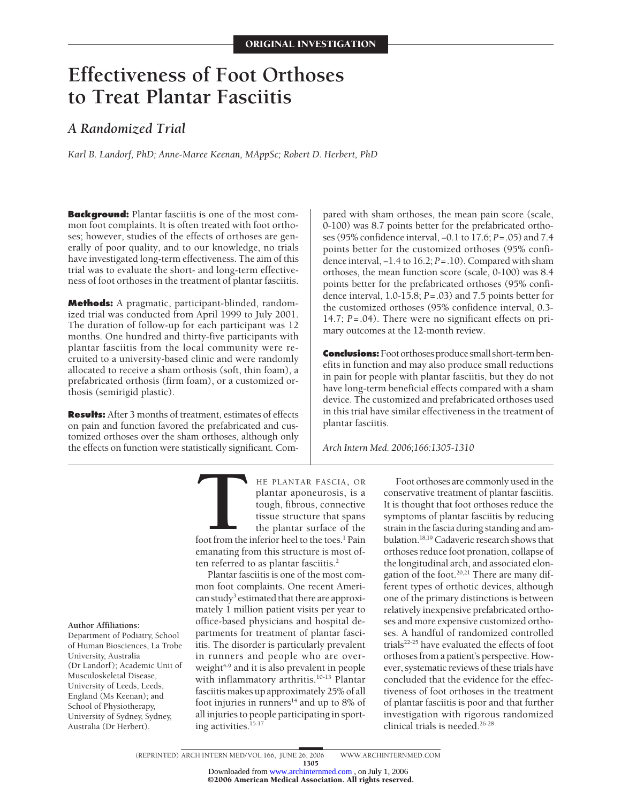# **Effectiveness of Foot Orthoses to Treat Plantar Fasciitis**

# *A Randomized Trial*

*Karl B. Landorf, PhD; Anne-Maree Keenan, MAppSc; Robert D. Herbert, PhD*

**Background:** Plantar fasciitis is one of the most common foot complaints. It is often treated with foot orthoses; however, studies of the effects of orthoses are generally of poor quality, and to our knowledge, no trials have investigated long-term effectiveness. The aim of this trial was to evaluate the short- and long-term effectiveness of foot orthoses in the treatment of plantar fasciitis.

**Methods:** A pragmatic, participant-blinded, randomized trial was conducted from April 1999 to July 2001. The duration of follow-up for each participant was 12 months. One hundred and thirty-five participants with plantar fasciitis from the local community were recruited to a university-based clinic and were randomly allocated to receive a sham orthosis (soft, thin foam), a prefabricated orthosis (firm foam), or a customized orthosis (semirigid plastic).

**Results:** After 3 months of treatment, estimates of effects on pain and function favored the prefabricated and customized orthoses over the sham orthoses, although only the effects on function were statistically significant. Compared with sham orthoses, the mean pain score (scale, 0-100) was 8.7 points better for the prefabricated orthoses (95% confidence interval, −0.1 to 17.6; *P*=.05) and 7.4 points better for the customized orthoses (95% confidence interval, −1.4 to 16.2; *P*=.10). Compared with sham orthoses, the mean function score (scale, 0-100) was 8.4 points better for the prefabricated orthoses (95% confidence interval, 1.0-15.8; *P*=.03) and 7.5 points better for the customized orthoses (95% confidence interval, 0.3- 14.7; *P*=.04). There were no significant effects on primary outcomes at the 12-month review.

**Conclusions:** Foot orthoses produce small short-term benefits in function and may also produce small reductions in pain for people with plantar fasciitis, but they do not have long-term beneficial effects compared with a sham device. The customized and prefabricated orthoses used in this trial have similar effectiveness in the treatment of plantar fasciitis.

*Arch Intern Med. 2006;166:1305-1310*

**THE PLANTAR FASCIA, OR**<br>plantar aponeurosis, is a<br>tough, fibrous, connective<br>tissue structure that spans<br>the plantar surface of the<br>foot from the inferior heel to the toes.<sup>1</sup> Pain plantar aponeurosis, is a tough, fibrous, connective tissue structure that spans the plantar surface of the emanating from this structure is most of-

Plantar fasciitis is one of the most common foot complaints. One recent American study<sup>3</sup> estimated that there are approximately 1 million patient visits per year to office-based physicians and hospital departments for treatment of plantar fasciitis. The disorder is particularly prevalent in runners and people who are overweight<sup>4-9</sup> and it is also prevalent in people with inflammatory arthritis.<sup>10-13</sup> Plantar fasciitis makes up approximately 25% of all foot injuries in runners $14$  and up to 8% of all injuries to people participating in sporting activities.<sup>15-17</sup>

ten referred to as plantar fasciitis.<sup>2</sup>

Foot orthoses are commonly used in the conservative treatment of plantar fasciitis. It is thought that foot orthoses reduce the symptoms of plantar fasciitis by reducing strain in the fascia during standing and ambulation.<sup>18,19</sup> Cadaveric research shows that orthoses reduce foot pronation, collapse of the longitudinal arch, and associated elongation of the foot.<sup>20,21</sup> There are many different types of orthotic devices, although one of the primary distinctions is between relatively inexpensive prefabricated orthoses and more expensive customized orthoses. A handful of randomized controlled trials<sup>22-25</sup> have evaluated the effects of foot orthoses from a patient's perspective. However, systematic reviews of these trials have concluded that the evidence for the effectiveness of foot orthoses in the treatment of plantar fasciitis is poor and that further investigation with rigorous randomized clinical trials is needed.<sup>26-28</sup>

#### **Author Affiliations:**

Department of Podiatry, School of Human Biosciences, La Trobe University, Australia (Dr Landorf); Academic Unit of Musculoskeletal Disease, University of Leeds, Leeds, England (Ms Keenan); and School of Physiotherapy, University of Sydney, Sydney, Australia (Dr Herbert).

> (REPRINTED) ARCH INTERN MED/ VOL 166, JUNE 26, 2006 WWW.ARCHINTERNMED.COM 1305

©2006 American Medical Association. All rights reserved. Downloaded from [www.archinternmed.com](http://www.archinternmed.com) , on July 1, 2006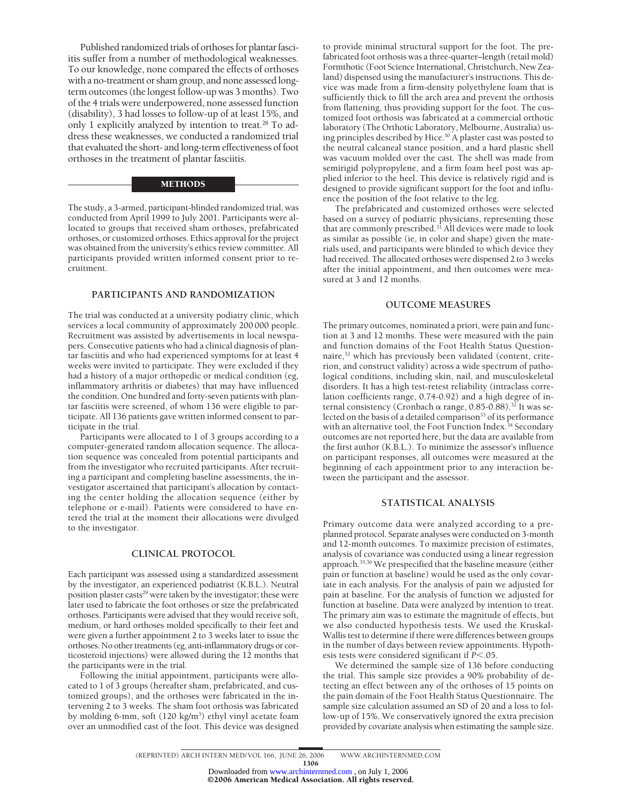Published randomized trials of orthoses for plantar fasciitis suffer from a number of methodological weaknesses. To our knowledge, none compared the effects of orthoses with a no-treatment or sham group, and none assessed longterm outcomes (the longest follow-up was 3 months). Two of the 4 trials were underpowered, none assessed function (disability), 3 had losses to follow-up of at least 15%, and only 1 explicitly analyzed by intention to treat.<sup>28</sup> To address these weaknesses, we conducted a randomized trial that evaluated the short- and long-term effectiveness of foot orthoses in the treatment of plantar fasciitis.

### **METHODS**

The study, a 3-armed, participant-blinded randomized trial, was conducted from April 1999 to July 2001. Participants were allocated to groups that received sham orthoses, prefabricated orthoses, or customized orthoses. Ethics approval for the project was obtained from the university's ethics review committee. All participants provided written informed consent prior to recruitment.

# **PARTICIPANTS AND RANDOMIZATION**

The trial was conducted at a university podiatry clinic, which services a local community of approximately 200 000 people. Recruitment was assisted by advertisements in local newspapers. Consecutive patients who had a clinical diagnosis of plantar fasciitis and who had experienced symptoms for at least 4 weeks were invited to participate. They were excluded if they had a history of a major orthopedic or medical condition (eg, inflammatory arthritis or diabetes) that may have influenced the condition. One hundred and forty-seven patients with plantar fasciitis were screened, of whom 136 were eligible to participate. All 136 patients gave written informed consent to participate in the trial.

Participants were allocated to 1 of 3 groups according to a computer-generated random allocation sequence. The allocation sequence was concealed from potential participants and from the investigator who recruited participants. After recruiting a participant and completing baseline assessments, the investigator ascertained that participant's allocation by contacting the center holding the allocation sequence (either by telephone or e-mail). Patients were considered to have entered the trial at the moment their allocations were divulged to the investigator.

#### **CLINICAL PROTOCOL**

Each participant was assessed using a standardized assessment by the investigator, an experienced podiatrist (K.B.L.). Neutral position plaster casts<sup>29</sup> were taken by the investigator; these were later used to fabricate the foot orthoses or size the prefabricated orthoses. Participants were advised that they would receive soft, medium, or hard orthoses molded specifically to their feet and were given a further appointment 2 to 3 weeks later to issue the orthoses. No other treatments (eg, anti-inflammatory drugs or corticosteroid injections) were allowed during the 12 months that the participants were in the trial.

Following the initial appointment, participants were allocated to 1 of 3 groups (hereafter sham, prefabricated, and customized groups), and the orthoses were fabricated in the intervening 2 to 3 weeks. The sham foot orthosis was fabricated by molding 6-mm, soft (120 kg/m<sup>3</sup>) ethyl vinyl acetate foam over an unmodified cast of the foot. This device was designed to provide minimal structural support for the foot. The prefabricated foot orthosis was a three-quarter–length (retail mold) Formthotic (Foot Science International, Christchurch, New Zealand) dispensed using the manufacturer's instructions. This device was made from a firm-density polyethylene foam that is sufficiently thick to fill the arch area and prevent the orthosis from flattening, thus providing support for the foot. The customized foot orthosis was fabricated at a commercial orthotic laboratory (The Orthotic Laboratory, Melbourne, Australia) using principles described by Hice.30 A plaster cast was posted to the neutral calcaneal stance position, and a hard plastic shell was vacuum molded over the cast. The shell was made from semirigid polypropylene, and a firm foam heel post was applied inferior to the heel. This device is relatively rigid and is designed to provide significant support for the foot and influence the position of the foot relative to the leg.

The prefabricated and customized orthoses were selected based on a survey of podiatric physicians, representing those that are commonly prescribed.31 All devices were made to look as similar as possible (ie, in color and shape) given the materials used, and participants were blinded to which device they had received. The allocated orthoses were dispensed 2 to 3 weeks after the initial appointment, and then outcomes were measured at 3 and 12 months.

### **OUTCOME MEASURES**

The primary outcomes, nominated a priori, were pain and function at 3 and 12 months. These were measured with the pain and function domains of the Foot Health Status Questionnaire,<sup>32</sup> which has previously been validated (content, criterion, and construct validity) across a wide spectrum of pathological conditions, including skin, nail, and musculoskeletal disorders. It has a high test-retest reliability (intraclass correlation coefficients range, 0.74-0.92) and a high degree of internal consistency (Cronbach  $\alpha$  range, 0.85-0.88).<sup>32</sup> It was selected on the basis of a detailed comparison<sup>33</sup> of its performance with an alternative tool, the Foot Function Index.<sup>34</sup> Secondary outcomes are not reported here, but the data are available from the first author (K.B.L.). To minimize the assessor's influence on participant responses, all outcomes were measured at the beginning of each appointment prior to any interaction between the participant and the assessor.

# **STATISTICAL ANALYSIS**

Primary outcome data were analyzed according to a preplanned protocol. Separate analyses were conducted on 3-month and 12-month outcomes. To maximize precision of estimates, analysis of covariance was conducted using a linear regression approach.35,36 We prespecified that the baseline measure (either pain or function at baseline) would be used as the only covariate in each analysis. For the analysis of pain we adjusted for pain at baseline. For the analysis of function we adjusted for function at baseline. Data were analyzed by intention to treat. The primary aim was to estimate the magnitude of effects, but we also conducted hypothesis tests. We used the Kruskal-Wallis test to determine if there were differences between groups in the number of days between review appointments. Hypothesis tests were considered significant if *P*<.05.

We determined the sample size of 136 before conducting the trial. This sample size provides a 90% probability of detecting an effect between any of the orthoses of 15 points on the pain domain of the Foot Health Status Questionnaire. The sample size calculation assumed an SD of 20 and a loss to follow-up of 15%. We conservatively ignored the extra precision provided by covariate analysis when estimating the sample size.

<sup>(</sup>REPRINTED) ARCH INTERN MED/ VOL 166, JUNE 26, 2006 WWW.ARCHINTERNMED.COM 1306

<sup>©2006</sup> American Medical Association. All rights reserved. Downloaded from [www.archinternmed.com](http://www.archinternmed.com) , on July 1, 2006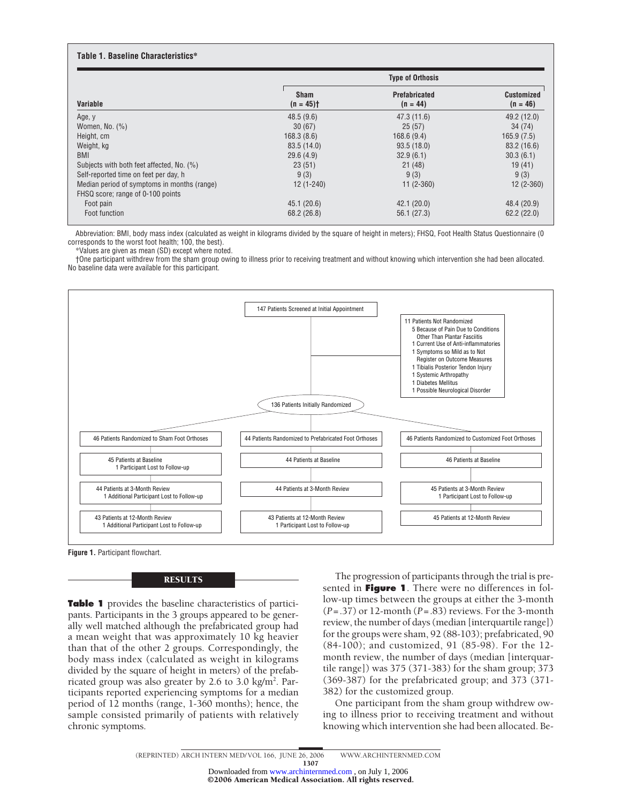#### **Table 1. Baseline Characteristics\* Variable Type of Orthosis Sham (n = 45)† Prefabricated (n = 44) Customized (n = 46)** Age, y 48.5 (9.6) 47.3 (11.6) 49.2 (12.0) Women, No. (%) 34 (74) 34 (75) 34 (76) 36 (67) 36 (67) 36 (67) 36 (67) 36 (67) 37 (87) 37 (88) 37 (89) 37 (89) 37 (89) 37 (89) 38 (75) 38 (75) 37 (89) 38 (87) 38 (87) 38 (87) 38 (87) 38 (87) 38 (87) 38 (87) 38 (87) 38 (87) Height, cm 168.3 (8.6) 168.6 (9.4) 165.9 (7.5) Weight, kg 83.5 (14.0) 93.5 (18.0) 83.2 (16.6) BMI 29.6 (4.9) 32.9 (6.1) 30.3 (6.1) Subjects with both feet affected, No. (%) 23 (51) 23 (51) 21 (48) 21 (48) 19 (41) Self-reported time on feet per day, h  $9(3)$  9 (3) 9 (3) 9 (3) 9 (3) Median period of symptoms in months (range) 12 (1-240) 11 (2-360) 12 (2-360) FHSQ score; range of 0-100 points Foot pain 45.1 (20.6) 42.1 (20.0) 48.4 (20.9) Foot function 68.2 (26.8) 56.1 (27.3) 62.2 (22.0)

Abbreviation: BMI, body mass index (calculated as weight in kilograms divided by the square of height in meters); FHSQ, Foot Health Status Questionnaire (0 corresponds to the worst foot health; 100, the best).

\*Values are given as mean (SD) except where noted.

†One participant withdrew from the sham group owing to illness prior to receiving treatment and without knowing which intervention she had been allocated. No baseline data were available for this participant.





RESULTS

**Table 1** provides the baseline characteristics of participants. Participants in the 3 groups appeared to be generally well matched although the prefabricated group had a mean weight that was approximately 10 kg heavier than that of the other 2 groups. Correspondingly, the body mass index (calculated as weight in kilograms divided by the square of height in meters) of the prefabricated group was also greater by 2.6 to 3.0 kg/m<sup>2</sup>. Participants reported experiencing symptoms for a median period of 12 months (range, 1-360 months); hence, the sample consisted primarily of patients with relatively chronic symptoms.

The progression of participants through the trial is presented in **Figure 1**. There were no differences in follow-up times between the groups at either the 3-month (*P*=.37) or 12-month (*P*=.83) reviews. For the 3-month review, the number of days (median [interquartile range]) for the groups were sham, 92 (88-103); prefabricated, 90 (84-100); and customized, 91 (85-98). For the 12 month review, the number of days (median [interquartile range]) was 375 (371-383) for the sham group; 373 (369-387) for the prefabricated group; and 373 (371- 382) for the customized group.

One participant from the sham group withdrew owing to illness prior to receiving treatment and without knowing which intervention she had been allocated. Be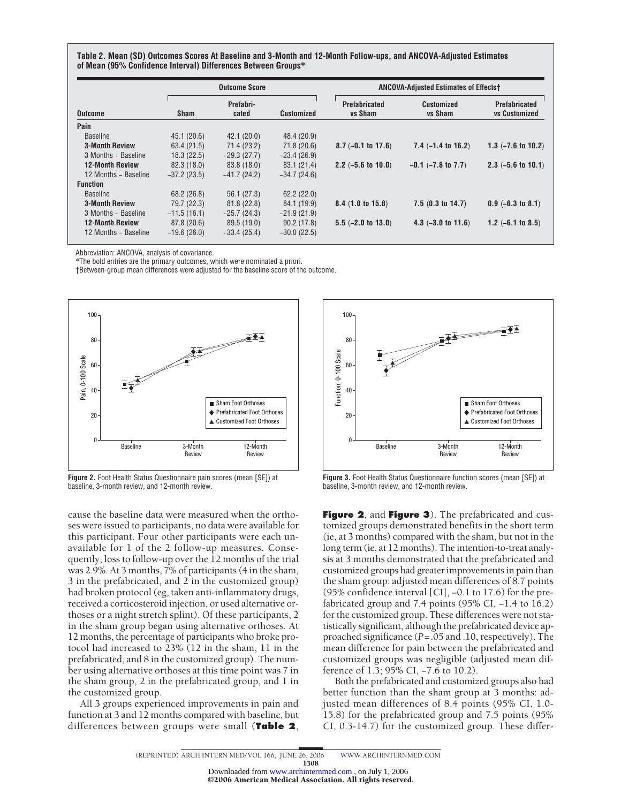**Table 2. Mean (SD) Outcomes Scores At Baseline and 3-Month and 12-Month Follow-ups, and ANCOVA-Adjusted Estimates of Mean (95% Confidence Interval) Differences Between Groups\***

|                        | <b>Outcome Score</b> |                    |                   | <b>ANCOVA-Adjusted Estimates of Effectst</b> |                                     |                                              |
|------------------------|----------------------|--------------------|-------------------|----------------------------------------------|-------------------------------------|----------------------------------------------|
| <b>Outcome</b>         | <b>Sham</b>          | Prefabri-<br>cated | <b>Customized</b> | <b>Prefabricated</b><br><b>vs Sham</b>       | <b>Customized</b><br><b>vs Sham</b> | <b>Prefabricated</b><br><b>vs Customized</b> |
| Pain                   |                      |                    |                   |                                              |                                     |                                              |
| <b>Baseline</b>        | 45.1(20.6)           | 42.1(20.0)         | 48.4 (20.9)       |                                              |                                     |                                              |
| <b>3-Month Review</b>  | 63.4 (21.5)          | 71.4 (23.2)        | 71.8(20.6)        | $8.7 (-0.1 to 17.6)$                         | $7.4$ $(-1.4$ to $16.2)$            | 1.3 $(-7.6 \text{ to } 10.2)$                |
| 3 Months - Baseline    | 18.3(22.5)           | $-29.3(27.7)$      | $-23.4(26.9)$     |                                              |                                     |                                              |
| <b>12-Month Review</b> | 82.3 (18.0)          | 83.8 (18.0)        | 83.1 (21.4)       | 2.2 $(-5.6 \text{ to } 10.0)$                | $-0.1$ $(-7.8$ to $7.7)$            | $2.3$ (-5.6 to 10.1)                         |
| 12 Months - Baseline   | $-37.2(23.5)$        | $-41.7(24.2)$      | $-34.7(24.6)$     |                                              |                                     |                                              |
| <b>Function</b>        |                      |                    |                   |                                              |                                     |                                              |
| <b>Baseline</b>        | 68.2 (26.8)          | 56.1(27.3)         | 62.2(22.0)        |                                              |                                     |                                              |
| <b>3-Month Review</b>  | 79.7 (22.3)          | 81.8(22.8)         | 84.1 (19.9)       | $8.4$ (1.0 to 15.8)                          | $7.5(0.3 \text{ to } 14.7)$         | $0.9$ (-6.3 to 8.1)                          |
| 3 Months - Baseline    | $-11.5(16.1)$        | $-25.7(24.3)$      | $-21.9(21.9)$     |                                              |                                     |                                              |
| <b>12-Month Review</b> | 87.8 (20.6)          | 89.5 (19.0)        | 90.2(17.8)        | $5.5$ (-2.0 to 13.0)                         | $4.3$ $(-3.0 \text{ to } 11.6)$     | 1.2 $(-6.1$ to 8.5)                          |
| 12 Months - Baseline   | $-19.6(26.0)$        | $-33.4(25.4)$      | $-30.0(22.5)$     |                                              |                                     |                                              |

Abbreviation: ANCOVA, analysis of covariance.

\*The bold entries are the primary outcomes, which were nominated a priori.

†Between-group mean differences were adjusted for the baseline score of the outcome.



**Figure 2.** Foot Health Status Questionnaire pain scores (mean [SE]) at baseline, 3-month review, and 12-month review.

cause the baseline data were measured when the orthoses were issued to participants, no data were available for this participant. Four other participants were each unavailable for 1 of the 2 follow-up measures. Consequently, loss to follow-up over the 12 months of the trial was 2.9%. At 3 months, 7% of participants (4 in the sham, 3 in the prefabricated, and 2 in the customized group) had broken protocol (eg, taken anti-inflammatory drugs, received a corticosteroid injection, or used alternative orthoses or a night stretch splint). Of these participants, 2 in the sham group began using alternative orthoses. At 12 months, the percentage of participants who broke protocol had increased to 23% (12 in the sham, 11 in the prefabricated, and 8 in the customized group). The number using alternative orthoses at this time point was 7 in the sham group, 2 in the prefabricated group, and 1 in the customized group.

All 3 groups experienced improvements in pain and function at 3 and 12 months compared with baseline, but differences between groups were small (**Table 2**,



**Figure 3.** Foot Health Status Questionnaire function scores (mean [SE]) at baseline, 3-month review, and 12-month review.

**Figure 2**, and **Figure 3**). The prefabricated and customized groups demonstrated benefits in the short term (ie, at 3 months) compared with the sham, but not in the long term (ie, at 12 months). The intention-to-treat analysis at 3 months demonstrated that the prefabricated and customized groups had greater improvements in pain than the sham group: adjusted mean differences of 8.7 points (95% confidence interval [CI], −0.1 to 17.6) for the prefabricated group and 7.4 points (95% CI, −1.4 to 16.2) for the customized group. These differences were not statistically significant, although the prefabricated device approached significance (*P*=.05 and .10, respectively). The mean difference for pain between the prefabricated and customized groups was negligible (adjusted mean difference of 1.3; 95% CI, −7.6 to 10.2).

Both the prefabricated and customized groups also had better function than the sham group at 3 months: adjusted mean differences of 8.4 points (95% CI, 1.0- 15.8) for the prefabricated group and 7.5 points (95% CI, 0.3-14.7) for the customized group. These differ-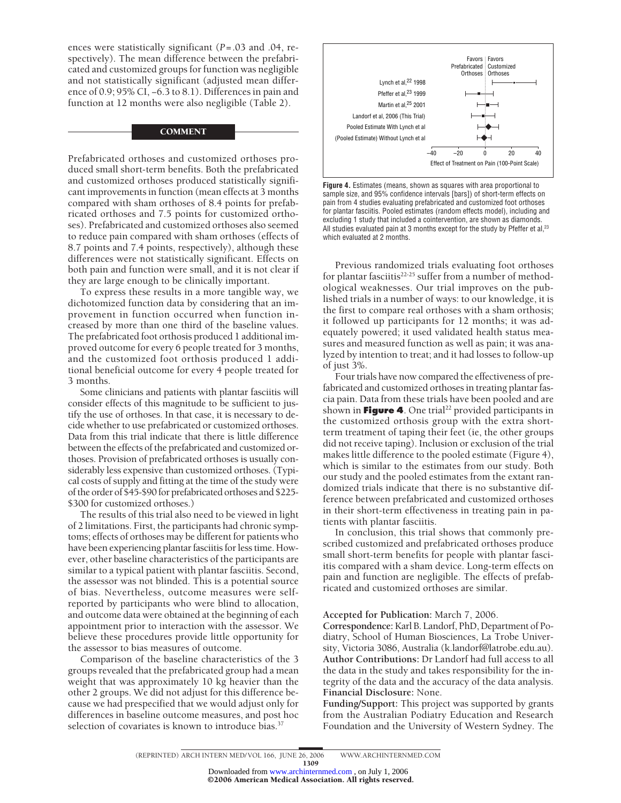ences were statistically significant (*P*=.03 and .04, respectively). The mean difference between the prefabricated and customized groups for function was negligible and not statistically significant (adjusted mean difference of 0.9; 95% CI, −6.3 to 8.1). Differences in pain and function at 12 months were also negligible (Table 2).

#### **COMMENT**

Prefabricated orthoses and customized orthoses produced small short-term benefits. Both the prefabricated and customized orthoses produced statistically significant improvements in function (mean effects at 3 months compared with sham orthoses of 8.4 points for prefabricated orthoses and 7.5 points for customized orthoses). Prefabricated and customized orthoses also seemed to reduce pain compared with sham orthoses (effects of 8.7 points and 7.4 points, respectively), although these differences were not statistically significant. Effects on both pain and function were small, and it is not clear if they are large enough to be clinically important.

To express these results in a more tangible way, we dichotomized function data by considering that an improvement in function occurred when function increased by more than one third of the baseline values. The prefabricated foot orthosis produced 1 additional improved outcome for every 6 people treated for 3 months, and the customized foot orthosis produced 1 additional beneficial outcome for every 4 people treated for 3 months.

Some clinicians and patients with plantar fasciitis will consider effects of this magnitude to be sufficient to justify the use of orthoses. In that case, it is necessary to decide whether to use prefabricated or customized orthoses. Data from this trial indicate that there is little difference between the effects of the prefabricated and customized orthoses. Provision of prefabricated orthoses is usually considerably less expensive than customized orthoses. (Typical costs of supply and fitting at the time of the study were of the order of \$45-\$90 for prefabricated orthoses and \$225- \$300 for customized orthoses.)

The results of this trial also need to be viewed in light of 2 limitations. First, the participants had chronic symptoms; effects of orthoses may be different for patients who have been experiencing plantar fasciitis for less time. However, other baseline characteristics of the participants are similar to a typical patient with plantar fasciitis. Second, the assessor was not blinded. This is a potential source of bias. Nevertheless, outcome measures were selfreported by participants who were blind to allocation, and outcome data were obtained at the beginning of each appointment prior to interaction with the assessor. We believe these procedures provide little opportunity for the assessor to bias measures of outcome.

Comparison of the baseline characteristics of the 3 groups revealed that the prefabricated group had a mean weight that was approximately 10 kg heavier than the other 2 groups. We did not adjust for this difference because we had prespecified that we would adjust only for differences in baseline outcome measures, and post hoc selection of covariates is known to introduce bias.<sup>37</sup>



**Figure 4.** Estimates (means, shown as squares with area proportional to sample size, and 95% confidence intervals [bars]) of short-term effects on pain from 4 studies evaluating prefabricated and customized foot orthoses for plantar fasciitis. Pooled estimates (random effects model), including and excluding 1 study that included a cointervention, are shown as diamonds. All studies evaluated pain at 3 months except for the study by Pfeffer et al,<sup>23</sup> which evaluated at 2 months.

Previous randomized trials evaluating foot orthoses for plantar fasciitis<sup>22-25</sup> suffer from a number of methodological weaknesses. Our trial improves on the published trials in a number of ways: to our knowledge, it is the first to compare real orthoses with a sham orthosis; it followed up participants for 12 months; it was adequately powered; it used validated health status measures and measured function as well as pain; it was analyzed by intention to treat; and it had losses to follow-up of just 3%.

Four trials have now compared the effectiveness of prefabricated and customized orthoses in treating plantar fascia pain. Data from these trials have been pooled and are shown in **Figure 4**. One trial<sup>22</sup> provided participants in the customized orthosis group with the extra shortterm treatment of taping their feet (ie, the other groups did not receive taping). Inclusion or exclusion of the trial makes little difference to the pooled estimate (Figure 4), which is similar to the estimates from our study. Both our study and the pooled estimates from the extant randomized trials indicate that there is no substantive difference between prefabricated and customized orthoses in their short-term effectiveness in treating pain in patients with plantar fasciitis.

In conclusion, this trial shows that commonly prescribed customized and prefabricated orthoses produce small short-term benefits for people with plantar fasciitis compared with a sham device. Long-term effects on pain and function are negligible. The effects of prefabricated and customized orthoses are similar.

**Accepted for Publication:** March 7, 2006.

**Correspondence:**Karl B. Landorf, PhD, Department of Podiatry, School of Human Biosciences, La Trobe University, Victoria 3086, Australia (k.landorf@latrobe.edu.au). **Author Contributions:** Dr Landorf had full access to all the data in the study and takes responsibility for the integrity of the data and the accuracy of the data analysis. **Financial Disclosure:** None.

**Funding/Support:** This project was supported by grants from the Australian Podiatry Education and Research Foundation and the University of Western Sydney. The

1309